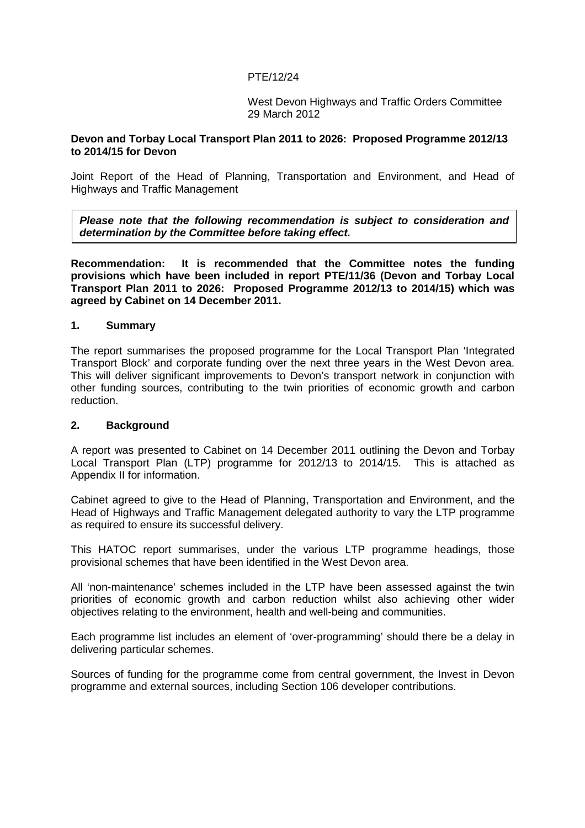## PTE/12/24

West Devon Highways and Traffic Orders Committee 29 March 2012

#### **Devon and Torbay Local Transport Plan 2011 to 2026: Proposed Programme 2012/13 to 2014/15 for Devon**

Joint Report of the Head of Planning, Transportation and Environment, and Head of Highways and Traffic Management

**Please note that the following recommendation is subject to consideration and determination by the Committee before taking effect.** 

**Recommendation: It is recommended that the Committee notes the funding provisions which have been included in report PTE/11/36 (Devon and Torbay Local Transport Plan 2011 to 2026: Proposed Programme 2012/13 to 2014/15) which was agreed by Cabinet on 14 December 2011.** 

#### **1. Summary**

The report summarises the proposed programme for the Local Transport Plan 'Integrated Transport Block' and corporate funding over the next three years in the West Devon area. This will deliver significant improvements to Devon's transport network in conjunction with other funding sources, contributing to the twin priorities of economic growth and carbon reduction.

#### **2. Background**

A report was presented to Cabinet on 14 December 2011 outlining the Devon and Torbay Local Transport Plan (LTP) programme for 2012/13 to 2014/15. This is attached as Appendix II for information.

Cabinet agreed to give to the Head of Planning, Transportation and Environment, and the Head of Highways and Traffic Management delegated authority to vary the LTP programme as required to ensure its successful delivery.

This HATOC report summarises, under the various LTP programme headings, those provisional schemes that have been identified in the West Devon area.

All 'non-maintenance' schemes included in the LTP have been assessed against the twin priorities of economic growth and carbon reduction whilst also achieving other wider objectives relating to the environment, health and well-being and communities.

Each programme list includes an element of 'over-programming' should there be a delay in delivering particular schemes.

Sources of funding for the programme come from central government, the Invest in Devon programme and external sources, including Section 106 developer contributions.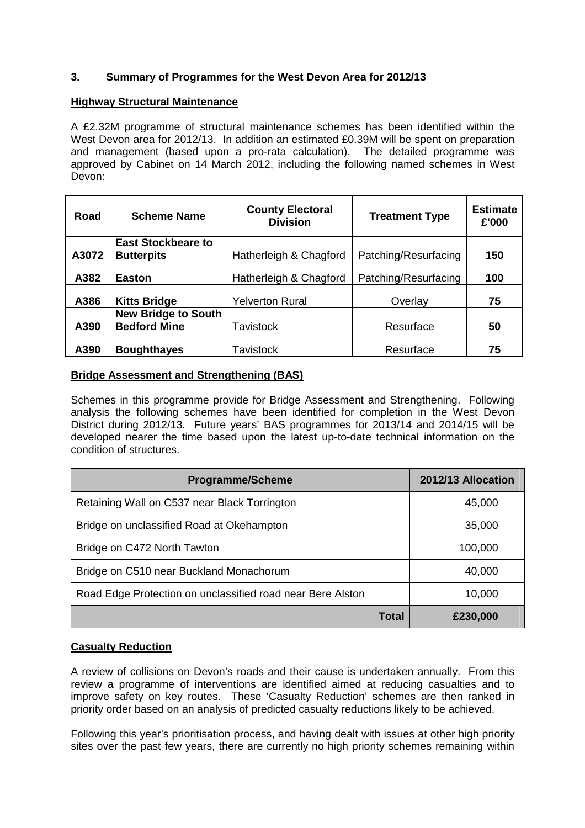## **3. Summary of Programmes for the West Devon Area for 2012/13**

#### **Highway Structural Maintenance**

A £2.32M programme of structural maintenance schemes has been identified within the West Devon area for 2012/13. In addition an estimated £0.39M will be spent on preparation and management (based upon a pro-rata calculation). The detailed programme was approved by Cabinet on 14 March 2012, including the following named schemes in West Devon:

| Road  | <b>Scheme Name</b>         | <b>County Electoral</b><br><b>Division</b> | <b>Treatment Type</b> | <b>Estimate</b><br>£'000 |
|-------|----------------------------|--------------------------------------------|-----------------------|--------------------------|
|       | <b>East Stockbeare to</b>  |                                            |                       |                          |
| A3072 | <b>Butterpits</b>          | Hatherleigh & Chagford                     | Patching/Resurfacing  | 150                      |
| A382  | <b>Easton</b>              | Hatherleigh & Chagford                     | Patching/Resurfacing  | 100                      |
| A386  | <b>Kitts Bridge</b>        | <b>Yelverton Rural</b>                     | Overlay               | 75                       |
|       | <b>New Bridge to South</b> |                                            |                       |                          |
| A390  | <b>Bedford Mine</b>        | Tavistock                                  | Resurface             | 50                       |
| A390  | <b>Boughthayes</b>         | Tavistock                                  | Resurface             | 75                       |

#### **Bridge Assessment and Strengthening (BAS)**

Schemes in this programme provide for Bridge Assessment and Strengthening. Following analysis the following schemes have been identified for completion in the West Devon District during 2012/13. Future years' BAS programmes for 2013/14 and 2014/15 will be developed nearer the time based upon the latest up-to-date technical information on the condition of structures.

| <b>Programme/Scheme</b>                                    | 2012/13 Allocation |
|------------------------------------------------------------|--------------------|
| Retaining Wall on C537 near Black Torrington               | 45,000             |
| Bridge on unclassified Road at Okehampton                  | 35,000             |
| Bridge on C472 North Tawton                                | 100,000            |
| Bridge on C510 near Buckland Monachorum                    | 40,000             |
| Road Edge Protection on unclassified road near Bere Alston | 10,000             |
| Total                                                      | £230,000           |

## **Casualty Reduction**

A review of collisions on Devon's roads and their cause is undertaken annually. From this review a programme of interventions are identified aimed at reducing casualties and to improve safety on key routes. These 'Casualty Reduction' schemes are then ranked in priority order based on an analysis of predicted casualty reductions likely to be achieved.

Following this year's prioritisation process, and having dealt with issues at other high priority sites over the past few years, there are currently no high priority schemes remaining within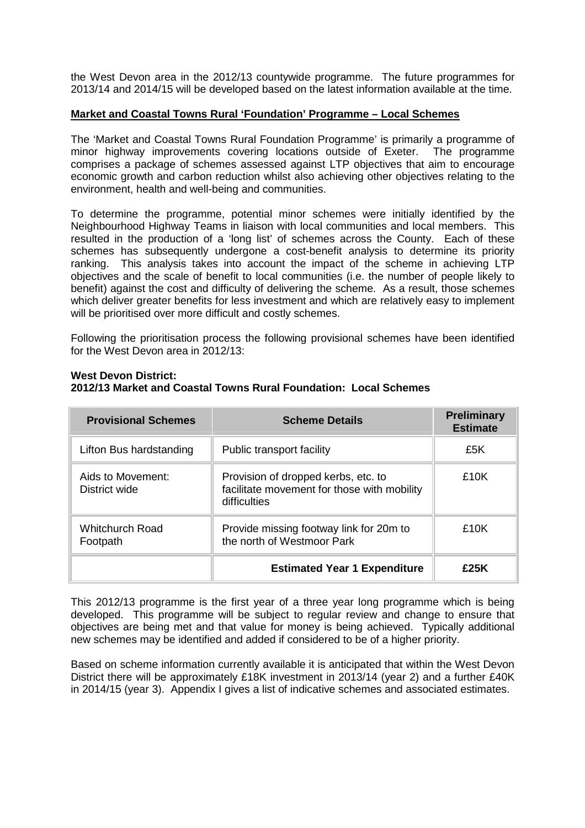the West Devon area in the 2012/13 countywide programme. The future programmes for 2013/14 and 2014/15 will be developed based on the latest information available at the time.

#### **Market and Coastal Towns Rural 'Foundation' Programme – Local Schemes**

The 'Market and Coastal Towns Rural Foundation Programme' is primarily a programme of minor highway improvements covering locations outside of Exeter. The programme comprises a package of schemes assessed against LTP objectives that aim to encourage economic growth and carbon reduction whilst also achieving other objectives relating to the environment, health and well-being and communities.

To determine the programme, potential minor schemes were initially identified by the Neighbourhood Highway Teams in liaison with local communities and local members. This resulted in the production of a 'long list' of schemes across the County. Each of these schemes has subsequently undergone a cost-benefit analysis to determine its priority ranking. This analysis takes into account the impact of the scheme in achieving LTP objectives and the scale of benefit to local communities (i.e. the number of people likely to benefit) against the cost and difficulty of delivering the scheme. As a result, those schemes which deliver greater benefits for less investment and which are relatively easy to implement will be prioritised over more difficult and costly schemes.

Following the prioritisation process the following provisional schemes have been identified for the West Devon area in 2012/13:

| <b>Provisional Schemes</b>         | <b>Scheme Details</b>                                                                              | <b>Preliminary</b><br><b>Estimate</b> |
|------------------------------------|----------------------------------------------------------------------------------------------------|---------------------------------------|
| Lifton Bus hardstanding            | Public transport facility                                                                          | £5K                                   |
| Aids to Movement:<br>District wide | Provision of dropped kerbs, etc. to<br>facilitate movement for those with mobility<br>difficulties | £10K                                  |
| Whitchurch Road<br>Footpath        | Provide missing footway link for 20m to<br>the north of Westmoor Park                              | £10 $K$                               |
|                                    | <b>£25K</b>                                                                                        |                                       |

#### **West Devon District:**

## **2012/13 Market and Coastal Towns Rural Foundation: Local Schemes**

This 2012/13 programme is the first year of a three year long programme which is being developed. This programme will be subject to regular review and change to ensure that objectives are being met and that value for money is being achieved. Typically additional new schemes may be identified and added if considered to be of a higher priority.

Based on scheme information currently available it is anticipated that within the West Devon District there will be approximately £18K investment in 2013/14 (year 2) and a further £40K in 2014/15 (year 3). Appendix I gives a list of indicative schemes and associated estimates.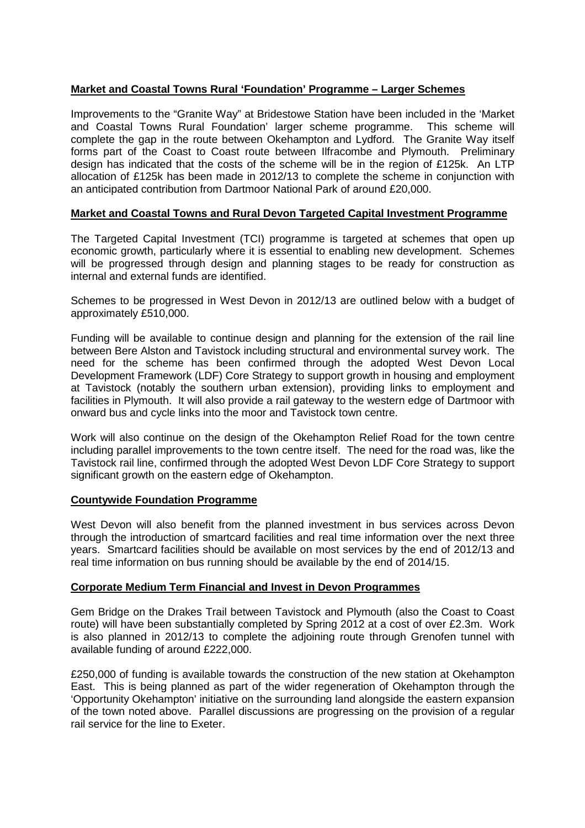## **Market and Coastal Towns Rural 'Foundation' Programme – Larger Schemes**

Improvements to the "Granite Way" at Bridestowe Station have been included in the 'Market and Coastal Towns Rural Foundation' larger scheme programme. This scheme will complete the gap in the route between Okehampton and Lydford. The Granite Way itself forms part of the Coast to Coast route between Ilfracombe and Plymouth. Preliminary design has indicated that the costs of the scheme will be in the region of £125k. An LTP allocation of £125k has been made in 2012/13 to complete the scheme in conjunction with an anticipated contribution from Dartmoor National Park of around £20,000.

## **Market and Coastal Towns and Rural Devon Targeted Capital Investment Programme**

The Targeted Capital Investment (TCI) programme is targeted at schemes that open up economic growth, particularly where it is essential to enabling new development. Schemes will be progressed through design and planning stages to be ready for construction as internal and external funds are identified.

Schemes to be progressed in West Devon in 2012/13 are outlined below with a budget of approximately £510,000.

Funding will be available to continue design and planning for the extension of the rail line between Bere Alston and Tavistock including structural and environmental survey work. The need for the scheme has been confirmed through the adopted West Devon Local Development Framework (LDF) Core Strategy to support growth in housing and employment at Tavistock (notably the southern urban extension), providing links to employment and facilities in Plymouth. It will also provide a rail gateway to the western edge of Dartmoor with onward bus and cycle links into the moor and Tavistock town centre.

Work will also continue on the design of the Okehampton Relief Road for the town centre including parallel improvements to the town centre itself. The need for the road was, like the Tavistock rail line, confirmed through the adopted West Devon LDF Core Strategy to support significant growth on the eastern edge of Okehampton.

## **Countywide Foundation Programme**

West Devon will also benefit from the planned investment in bus services across Devon through the introduction of smartcard facilities and real time information over the next three years. Smartcard facilities should be available on most services by the end of 2012/13 and real time information on bus running should be available by the end of 2014/15.

## **Corporate Medium Term Financial and Invest in Devon Programmes**

Gem Bridge on the Drakes Trail between Tavistock and Plymouth (also the Coast to Coast route) will have been substantially completed by Spring 2012 at a cost of over £2.3m. Work is also planned in 2012/13 to complete the adjoining route through Grenofen tunnel with available funding of around £222,000.

£250,000 of funding is available towards the construction of the new station at Okehampton East. This is being planned as part of the wider regeneration of Okehampton through the 'Opportunity Okehampton' initiative on the surrounding land alongside the eastern expansion of the town noted above. Parallel discussions are progressing on the provision of a regular rail service for the line to Exeter.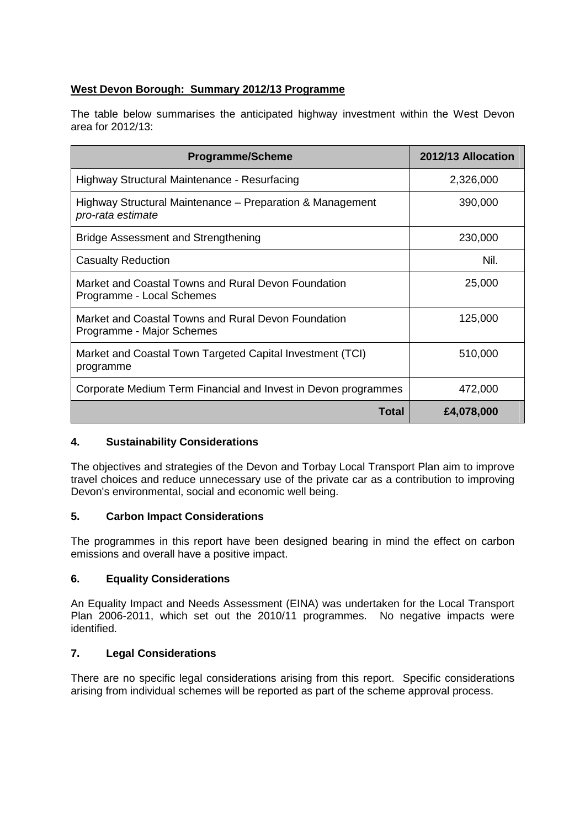## **West Devon Borough: Summary 2012/13 Programme**

The table below summarises the anticipated highway investment within the West Devon area for 2012/13:

| <b>Programme/Scheme</b>                                                          | 2012/13 Allocation |
|----------------------------------------------------------------------------------|--------------------|
| Highway Structural Maintenance - Resurfacing                                     | 2,326,000          |
| Highway Structural Maintenance – Preparation & Management<br>pro-rata estimate   | 390,000            |
| Bridge Assessment and Strengthening                                              | 230,000            |
| <b>Casualty Reduction</b>                                                        | Nil.               |
| Market and Coastal Towns and Rural Devon Foundation<br>Programme - Local Schemes | 25,000             |
| Market and Coastal Towns and Rural Devon Foundation<br>Programme - Major Schemes | 125,000            |
| Market and Coastal Town Targeted Capital Investment (TCI)<br>programme           | 510,000            |
| Corporate Medium Term Financial and Invest in Devon programmes                   | 472,000            |
| Total                                                                            | £4,078,000         |

## **4. Sustainability Considerations**

The objectives and strategies of the Devon and Torbay Local Transport Plan aim to improve travel choices and reduce unnecessary use of the private car as a contribution to improving Devon's environmental, social and economic well being.

## **5. Carbon Impact Considerations**

The programmes in this report have been designed bearing in mind the effect on carbon emissions and overall have a positive impact.

## **6. Equality Considerations**

An Equality Impact and Needs Assessment (EINA) was undertaken for the Local Transport Plan 2006-2011, which set out the 2010/11 programmes. No negative impacts were identified.

## **7. Legal Considerations**

There are no specific legal considerations arising from this report. Specific considerations arising from individual schemes will be reported as part of the scheme approval process.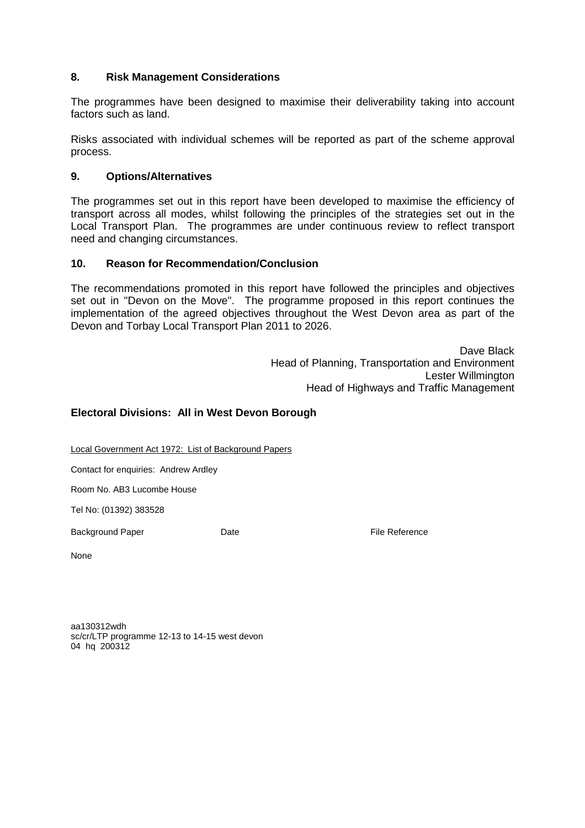## **8. Risk Management Considerations**

The programmes have been designed to maximise their deliverability taking into account factors such as land.

Risks associated with individual schemes will be reported as part of the scheme approval process.

## **9. Options/Alternatives**

The programmes set out in this report have been developed to maximise the efficiency of transport across all modes, whilst following the principles of the strategies set out in the Local Transport Plan. The programmes are under continuous review to reflect transport need and changing circumstances.

#### **10. Reason for Recommendation/Conclusion**

The recommendations promoted in this report have followed the principles and objectives set out in "Devon on the Move". The programme proposed in this report continues the implementation of the agreed objectives throughout the West Devon area as part of the Devon and Torbay Local Transport Plan 2011 to 2026.

> Dave Black Head of Planning, Transportation and Environment Lester Willmington Head of Highways and Traffic Management

## **Electoral Divisions: All in West Devon Borough**

Local Government Act 1972: List of Background Papers

Contact for enquiries: Andrew Ardley

Room No. AB3 Lucombe House

Tel No: (01392) 383528

Background Paper **Date Date Contract Contract Paper Contract Paper Contract Paper Contract Paper Contract Paper Contract Paper Contract Paper Contract Paper Contract Paper Contract Paper Contract Pa** 

None

aa130312wdh sc/cr/LTP programme 12-13 to 14-15 west devon 04 hq 200312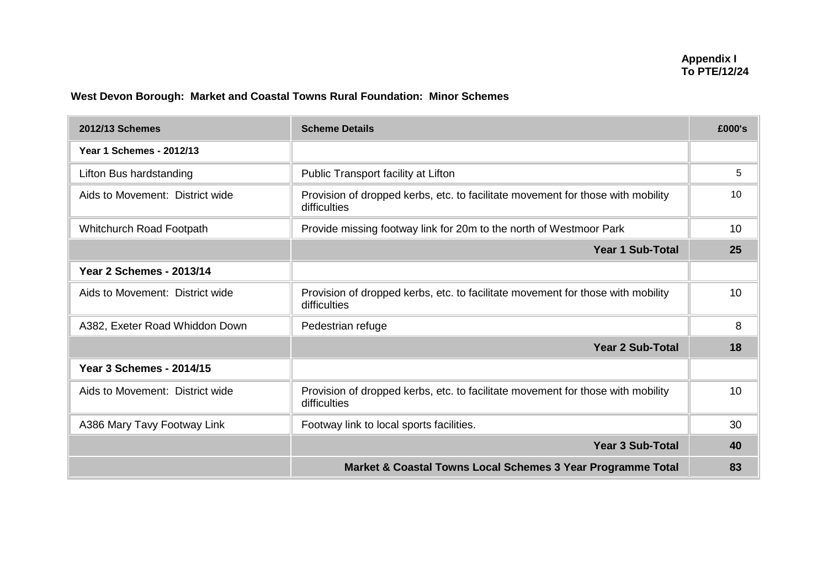## **West Devon Borough: Market and Coastal Towns Rural Foundation: Minor Schemes**

| 2012/13 Schemes                 | <b>Scheme Details</b>                                                                           | £000's |
|---------------------------------|-------------------------------------------------------------------------------------------------|--------|
| <b>Year 1 Schemes - 2012/13</b> |                                                                                                 |        |
| Lifton Bus hardstanding         | Public Transport facility at Lifton                                                             | 5      |
| Aids to Movement: District wide | Provision of dropped kerbs, etc. to facilitate movement for those with mobility<br>difficulties |        |
| Whitchurch Road Footpath        | Provide missing footway link for 20m to the north of Westmoor Park                              | 10     |
|                                 | <b>Year 1 Sub-Total</b>                                                                         | 25     |
| <b>Year 2 Schemes - 2013/14</b> |                                                                                                 |        |
| Aids to Movement: District wide | Provision of dropped kerbs, etc. to facilitate movement for those with mobility<br>difficulties | 10     |
| A382, Exeter Road Whiddon Down  | Pedestrian refuge                                                                               | 8      |
|                                 | <b>Year 2 Sub-Total</b>                                                                         | 18     |
| <b>Year 3 Schemes - 2014/15</b> |                                                                                                 |        |
| Aids to Movement: District wide | Provision of dropped kerbs, etc. to facilitate movement for those with mobility<br>difficulties | 10     |
| A386 Mary Tavy Footway Link     | Footway link to local sports facilities.                                                        | 30     |
|                                 | <b>Year 3 Sub-Total</b>                                                                         | 40     |
|                                 | Market & Coastal Towns Local Schemes 3 Year Programme Total                                     | 83     |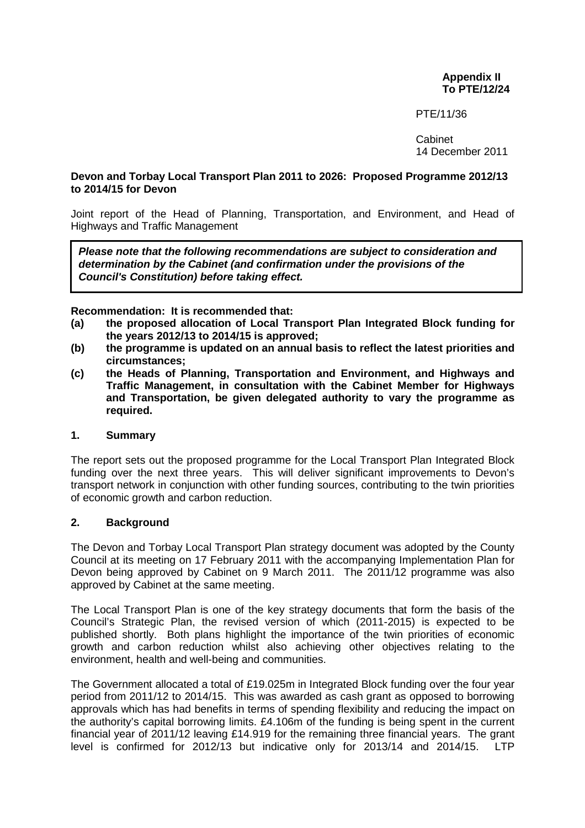## **Appendix II To PTE/12/24**

#### PTE/11/36

Cabinet 14 December 2011

#### **Devon and Torbay Local Transport Plan 2011 to 2026: Proposed Programme 2012/13 to 2014/15 for Devon**

Joint report of the Head of Planning, Transportation, and Environment, and Head of Highways and Traffic Management

Please note that the following recommendations are subject to consideration and determination by the Cabinet (and confirmation under the provisions of the **Council's Constitution) before taking effect.** 

#### **Recommendation: It is recommended that:**

- **(a) the proposed allocation of Local Transport Plan Integrated Block funding for the years 2012/13 to 2014/15 is approved;**
- **(b) the programme is updated on an annual basis to reflect the latest priorities and circumstances;**
- **(c) the Heads of Planning, Transportation and Environment, and Highways and Traffic Management, in consultation with the Cabinet Member for Highways and Transportation, be given delegated authority to vary the programme as required.**

### **1. Summary**

The report sets out the proposed programme for the Local Transport Plan Integrated Block funding over the next three years. This will deliver significant improvements to Devon's transport network in conjunction with other funding sources, contributing to the twin priorities of economic growth and carbon reduction.

#### **2. Background**

The Devon and Torbay Local Transport Plan strategy document was adopted by the County Council at its meeting on 17 February 2011 with the accompanying Implementation Plan for Devon being approved by Cabinet on 9 March 2011. The 2011/12 programme was also approved by Cabinet at the same meeting.

The Local Transport Plan is one of the key strategy documents that form the basis of the Council's Strategic Plan, the revised version of which (2011-2015) is expected to be published shortly. Both plans highlight the importance of the twin priorities of economic growth and carbon reduction whilst also achieving other objectives relating to the environment, health and well-being and communities.

The Government allocated a total of £19.025m in Integrated Block funding over the four year period from 2011/12 to 2014/15. This was awarded as cash grant as opposed to borrowing approvals which has had benefits in terms of spending flexibility and reducing the impact on the authority's capital borrowing limits. £4.106m of the funding is being spent in the current financial year of 2011/12 leaving £14.919 for the remaining three financial years. The grant level is confirmed for 2012/13 but indicative only for 2013/14 and 2014/15. LTP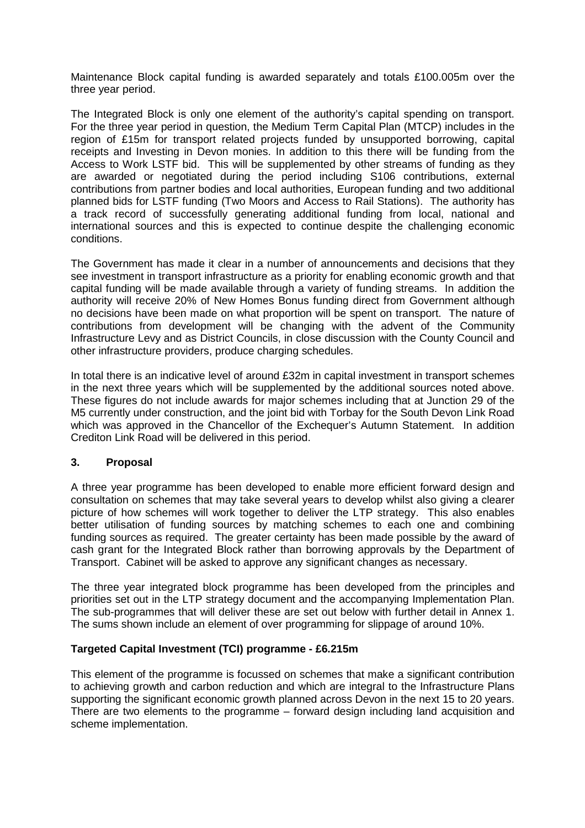Maintenance Block capital funding is awarded separately and totals £100.005m over the three year period.

The Integrated Block is only one element of the authority's capital spending on transport. For the three year period in question, the Medium Term Capital Plan (MTCP) includes in the region of £15m for transport related projects funded by unsupported borrowing, capital receipts and Investing in Devon monies. In addition to this there will be funding from the Access to Work LSTF bid. This will be supplemented by other streams of funding as they are awarded or negotiated during the period including S106 contributions, external contributions from partner bodies and local authorities, European funding and two additional planned bids for LSTF funding (Two Moors and Access to Rail Stations). The authority has a track record of successfully generating additional funding from local, national and international sources and this is expected to continue despite the challenging economic conditions.

The Government has made it clear in a number of announcements and decisions that they see investment in transport infrastructure as a priority for enabling economic growth and that capital funding will be made available through a variety of funding streams. In addition the authority will receive 20% of New Homes Bonus funding direct from Government although no decisions have been made on what proportion will be spent on transport. The nature of contributions from development will be changing with the advent of the Community Infrastructure Levy and as District Councils, in close discussion with the County Council and other infrastructure providers, produce charging schedules.

In total there is an indicative level of around £32m in capital investment in transport schemes in the next three years which will be supplemented by the additional sources noted above. These figures do not include awards for major schemes including that at Junction 29 of the M5 currently under construction, and the joint bid with Torbay for the South Devon Link Road which was approved in the Chancellor of the Exchequer's Autumn Statement. In addition Crediton Link Road will be delivered in this period.

## **3. Proposal**

A three year programme has been developed to enable more efficient forward design and consultation on schemes that may take several years to develop whilst also giving a clearer picture of how schemes will work together to deliver the LTP strategy. This also enables better utilisation of funding sources by matching schemes to each one and combining funding sources as required. The greater certainty has been made possible by the award of cash grant for the Integrated Block rather than borrowing approvals by the Department of Transport. Cabinet will be asked to approve any significant changes as necessary.

The three year integrated block programme has been developed from the principles and priorities set out in the LTP strategy document and the accompanying Implementation Plan. The sub-programmes that will deliver these are set out below with further detail in Annex 1. The sums shown include an element of over programming for slippage of around 10%.

## **Targeted Capital Investment (TCI) programme - £6.215m**

This element of the programme is focussed on schemes that make a significant contribution to achieving growth and carbon reduction and which are integral to the Infrastructure Plans supporting the significant economic growth planned across Devon in the next 15 to 20 years. There are two elements to the programme – forward design including land acquisition and scheme implementation.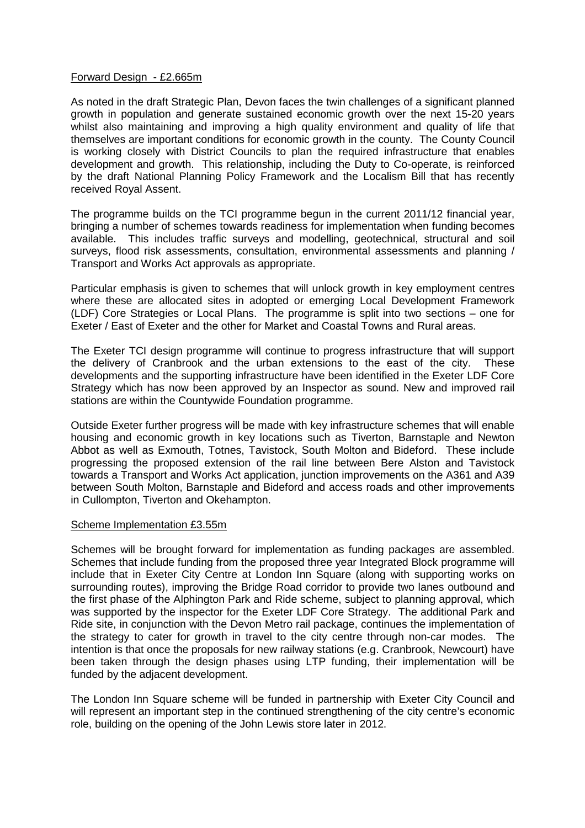#### Forward Design - £2.665m

As noted in the draft Strategic Plan, Devon faces the twin challenges of a significant planned growth in population and generate sustained economic growth over the next 15-20 years whilst also maintaining and improving a high quality environment and quality of life that themselves are important conditions for economic growth in the county. The County Council is working closely with District Councils to plan the required infrastructure that enables development and growth. This relationship, including the Duty to Co-operate, is reinforced by the draft National Planning Policy Framework and the Localism Bill that has recently received Royal Assent.

The programme builds on the TCI programme begun in the current 2011/12 financial year, bringing a number of schemes towards readiness for implementation when funding becomes available. This includes traffic surveys and modelling, geotechnical, structural and soil surveys, flood risk assessments, consultation, environmental assessments and planning / Transport and Works Act approvals as appropriate.

Particular emphasis is given to schemes that will unlock growth in key employment centres where these are allocated sites in adopted or emerging Local Development Framework (LDF) Core Strategies or Local Plans. The programme is split into two sections – one for Exeter / East of Exeter and the other for Market and Coastal Towns and Rural areas.

The Exeter TCI design programme will continue to progress infrastructure that will support the delivery of Cranbrook and the urban extensions to the east of the city. These developments and the supporting infrastructure have been identified in the Exeter LDF Core Strategy which has now been approved by an Inspector as sound. New and improved rail stations are within the Countywide Foundation programme.

Outside Exeter further progress will be made with key infrastructure schemes that will enable housing and economic growth in key locations such as Tiverton, Barnstaple and Newton Abbot as well as Exmouth, Totnes, Tavistock, South Molton and Bideford. These include progressing the proposed extension of the rail line between Bere Alston and Tavistock towards a Transport and Works Act application, junction improvements on the A361 and A39 between South Molton, Barnstaple and Bideford and access roads and other improvements in Cullompton, Tiverton and Okehampton.

#### Scheme Implementation £3.55m

Schemes will be brought forward for implementation as funding packages are assembled. Schemes that include funding from the proposed three year Integrated Block programme will include that in Exeter City Centre at London Inn Square (along with supporting works on surrounding routes), improving the Bridge Road corridor to provide two lanes outbound and the first phase of the Alphington Park and Ride scheme, subject to planning approval, which was supported by the inspector for the Exeter LDF Core Strategy. The additional Park and Ride site, in conjunction with the Devon Metro rail package, continues the implementation of the strategy to cater for growth in travel to the city centre through non-car modes. The intention is that once the proposals for new railway stations (e.g. Cranbrook, Newcourt) have been taken through the design phases using LTP funding, their implementation will be funded by the adjacent development.

The London Inn Square scheme will be funded in partnership with Exeter City Council and will represent an important step in the continued strengthening of the city centre's economic role, building on the opening of the John Lewis store later in 2012.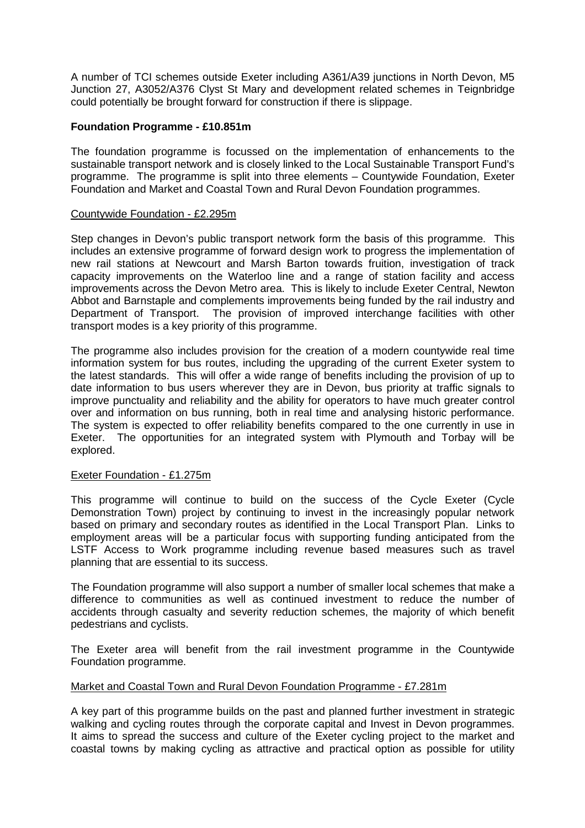A number of TCI schemes outside Exeter including A361/A39 junctions in North Devon, M5 Junction 27, A3052/A376 Clyst St Mary and development related schemes in Teignbridge could potentially be brought forward for construction if there is slippage.

### **Foundation Programme - £10.851m**

The foundation programme is focussed on the implementation of enhancements to the sustainable transport network and is closely linked to the Local Sustainable Transport Fund's programme. The programme is split into three elements – Countywide Foundation, Exeter Foundation and Market and Coastal Town and Rural Devon Foundation programmes.

#### Countywide Foundation - £2.295m

Step changes in Devon's public transport network form the basis of this programme. This includes an extensive programme of forward design work to progress the implementation of new rail stations at Newcourt and Marsh Barton towards fruition, investigation of track capacity improvements on the Waterloo line and a range of station facility and access improvements across the Devon Metro area. This is likely to include Exeter Central, Newton Abbot and Barnstaple and complements improvements being funded by the rail industry and Department of Transport. The provision of improved interchange facilities with other transport modes is a key priority of this programme.

The programme also includes provision for the creation of a modern countywide real time information system for bus routes, including the upgrading of the current Exeter system to the latest standards. This will offer a wide range of benefits including the provision of up to date information to bus users wherever they are in Devon, bus priority at traffic signals to improve punctuality and reliability and the ability for operators to have much greater control over and information on bus running, both in real time and analysing historic performance. The system is expected to offer reliability benefits compared to the one currently in use in Exeter. The opportunities for an integrated system with Plymouth and Torbay will be explored.

## Exeter Foundation - £1.275m

This programme will continue to build on the success of the Cycle Exeter (Cycle Demonstration Town) project by continuing to invest in the increasingly popular network based on primary and secondary routes as identified in the Local Transport Plan. Links to employment areas will be a particular focus with supporting funding anticipated from the LSTF Access to Work programme including revenue based measures such as travel planning that are essential to its success.

The Foundation programme will also support a number of smaller local schemes that make a difference to communities as well as continued investment to reduce the number of accidents through casualty and severity reduction schemes, the majority of which benefit pedestrians and cyclists.

The Exeter area will benefit from the rail investment programme in the Countywide Foundation programme.

## Market and Coastal Town and Rural Devon Foundation Programme - £7.281m

A key part of this programme builds on the past and planned further investment in strategic walking and cycling routes through the corporate capital and Invest in Devon programmes. It aims to spread the success and culture of the Exeter cycling project to the market and coastal towns by making cycling as attractive and practical option as possible for utility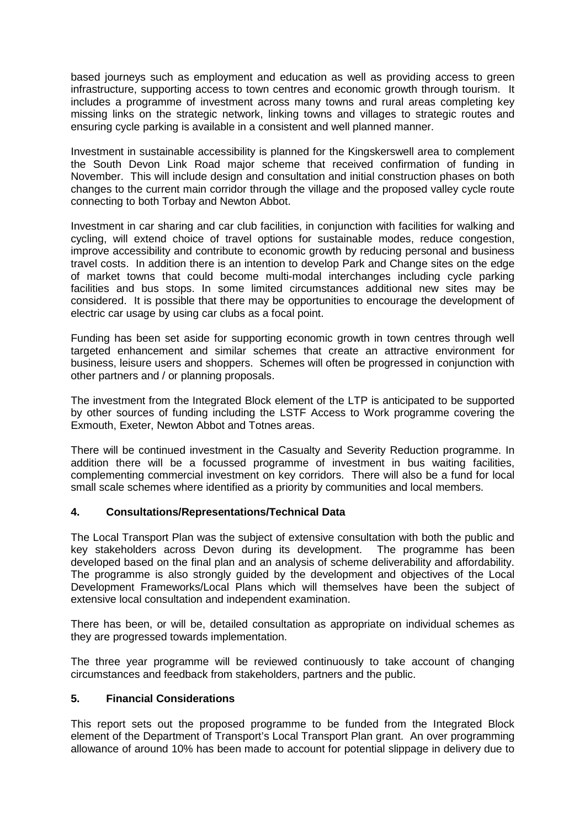based journeys such as employment and education as well as providing access to green infrastructure, supporting access to town centres and economic growth through tourism. It includes a programme of investment across many towns and rural areas completing key missing links on the strategic network, linking towns and villages to strategic routes and ensuring cycle parking is available in a consistent and well planned manner.

Investment in sustainable accessibility is planned for the Kingskerswell area to complement the South Devon Link Road major scheme that received confirmation of funding in November. This will include design and consultation and initial construction phases on both changes to the current main corridor through the village and the proposed valley cycle route connecting to both Torbay and Newton Abbot.

Investment in car sharing and car club facilities, in conjunction with facilities for walking and cycling, will extend choice of travel options for sustainable modes, reduce congestion, improve accessibility and contribute to economic growth by reducing personal and business travel costs. In addition there is an intention to develop Park and Change sites on the edge of market towns that could become multi-modal interchanges including cycle parking facilities and bus stops. In some limited circumstances additional new sites may be considered. It is possible that there may be opportunities to encourage the development of electric car usage by using car clubs as a focal point.

Funding has been set aside for supporting economic growth in town centres through well targeted enhancement and similar schemes that create an attractive environment for business, leisure users and shoppers. Schemes will often be progressed in conjunction with other partners and / or planning proposals.

The investment from the Integrated Block element of the LTP is anticipated to be supported by other sources of funding including the LSTF Access to Work programme covering the Exmouth, Exeter, Newton Abbot and Totnes areas.

There will be continued investment in the Casualty and Severity Reduction programme. In addition there will be a focussed programme of investment in bus waiting facilities, complementing commercial investment on key corridors. There will also be a fund for local small scale schemes where identified as a priority by communities and local members.

## **4. Consultations/Representations/Technical Data**

The Local Transport Plan was the subject of extensive consultation with both the public and key stakeholders across Devon during its development. The programme has been developed based on the final plan and an analysis of scheme deliverability and affordability. The programme is also strongly guided by the development and objectives of the Local Development Frameworks/Local Plans which will themselves have been the subject of extensive local consultation and independent examination.

There has been, or will be, detailed consultation as appropriate on individual schemes as they are progressed towards implementation.

The three year programme will be reviewed continuously to take account of changing circumstances and feedback from stakeholders, partners and the public.

## **5. Financial Considerations**

This report sets out the proposed programme to be funded from the Integrated Block element of the Department of Transport's Local Transport Plan grant. An over programming allowance of around 10% has been made to account for potential slippage in delivery due to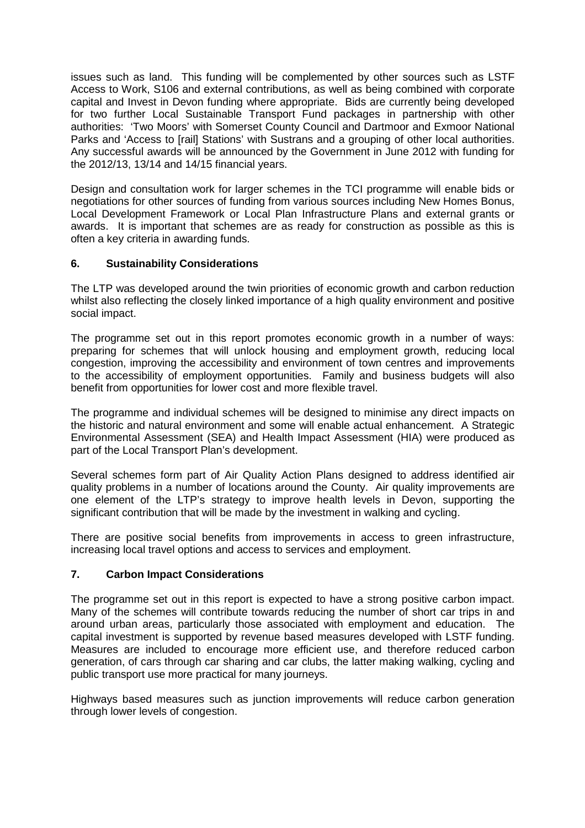issues such as land. This funding will be complemented by other sources such as LSTF Access to Work, S106 and external contributions, as well as being combined with corporate capital and Invest in Devon funding where appropriate. Bids are currently being developed for two further Local Sustainable Transport Fund packages in partnership with other authorities: 'Two Moors' with Somerset County Council and Dartmoor and Exmoor National Parks and 'Access to [rail] Stations' with Sustrans and a grouping of other local authorities. Any successful awards will be announced by the Government in June 2012 with funding for the 2012/13, 13/14 and 14/15 financial years.

Design and consultation work for larger schemes in the TCI programme will enable bids or negotiations for other sources of funding from various sources including New Homes Bonus, Local Development Framework or Local Plan Infrastructure Plans and external grants or awards. It is important that schemes are as ready for construction as possible as this is often a key criteria in awarding funds.

## **6. Sustainability Considerations**

The LTP was developed around the twin priorities of economic growth and carbon reduction whilst also reflecting the closely linked importance of a high quality environment and positive social impact.

The programme set out in this report promotes economic growth in a number of ways: preparing for schemes that will unlock housing and employment growth, reducing local congestion, improving the accessibility and environment of town centres and improvements to the accessibility of employment opportunities. Family and business budgets will also benefit from opportunities for lower cost and more flexible travel.

The programme and individual schemes will be designed to minimise any direct impacts on the historic and natural environment and some will enable actual enhancement. A Strategic Environmental Assessment (SEA) and Health Impact Assessment (HIA) were produced as part of the Local Transport Plan's development.

Several schemes form part of Air Quality Action Plans designed to address identified air quality problems in a number of locations around the County. Air quality improvements are one element of the LTP's strategy to improve health levels in Devon, supporting the significant contribution that will be made by the investment in walking and cycling.

There are positive social benefits from improvements in access to green infrastructure, increasing local travel options and access to services and employment.

## **7. Carbon Impact Considerations**

The programme set out in this report is expected to have a strong positive carbon impact. Many of the schemes will contribute towards reducing the number of short car trips in and around urban areas, particularly those associated with employment and education. The capital investment is supported by revenue based measures developed with LSTF funding. Measures are included to encourage more efficient use, and therefore reduced carbon generation, of cars through car sharing and car clubs, the latter making walking, cycling and public transport use more practical for many journeys.

Highways based measures such as junction improvements will reduce carbon generation through lower levels of congestion.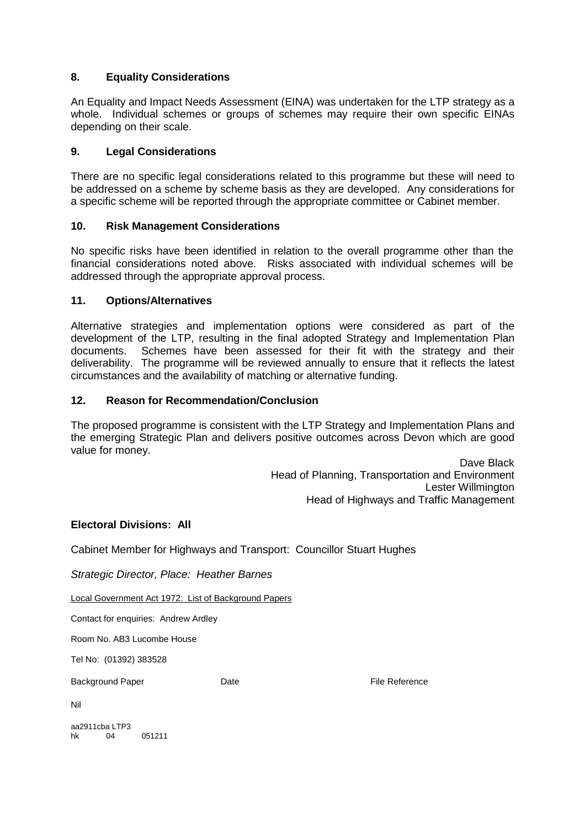## **8. Equality Considerations**

An Equality and Impact Needs Assessment (EINA) was undertaken for the LTP strategy as a whole. Individual schemes or groups of schemes may require their own specific EINAs depending on their scale.

## **9. Legal Considerations**

There are no specific legal considerations related to this programme but these will need to be addressed on a scheme by scheme basis as they are developed. Any considerations for a specific scheme will be reported through the appropriate committee or Cabinet member.

#### **10. Risk Management Considerations**

No specific risks have been identified in relation to the overall programme other than the financial considerations noted above. Risks associated with individual schemes will be addressed through the appropriate approval process.

#### **11. Options/Alternatives**

Alternative strategies and implementation options were considered as part of the development of the LTP, resulting in the final adopted Strategy and Implementation Plan documents. Schemes have been assessed for their fit with the strategy and their deliverability. The programme will be reviewed annually to ensure that it reflects the latest circumstances and the availability of matching or alternative funding.

#### **12. Reason for Recommendation/Conclusion**

The proposed programme is consistent with the LTP Strategy and Implementation Plans and the emerging Strategic Plan and delivers positive outcomes across Devon which are good value for money.

> Dave Black Head of Planning, Transportation and Environment Lester Willmington Head of Highways and Traffic Management

#### **Electoral Divisions: All**

Cabinet Member for Highways and Transport: Councillor Stuart Hughes

Strategic Director, Place: Heather Barnes

Local Government Act 1972: List of Background Papers

Contact for enquiries: Andrew Ardley

Room No. AB3 Lucombe House

Tel No: (01392) 383528

Background Paper **Date Date Containers** Date **File Reference** 

Nil

aa2911cba LTP3 hk 04 051211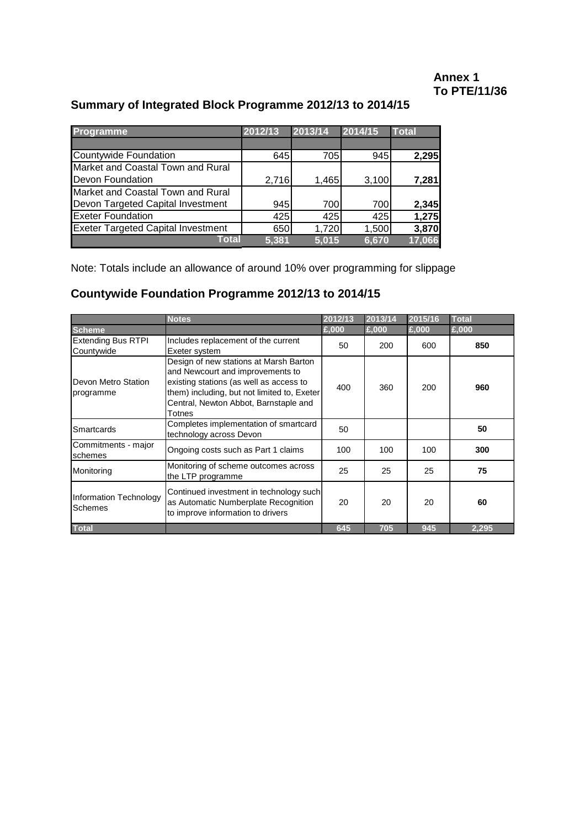## **Annex 1 To PTE/11/36**

## **Summary of Integrated Block Programme 2012/13 to 2014/15**

| <b>Programme</b>                          | 2012/13 | 2013/14 | 2014/15 | <b>Total</b> |
|-------------------------------------------|---------|---------|---------|--------------|
|                                           |         |         |         |              |
| Countywide Foundation                     | 645     | 705     | 945     | 2,295        |
| Market and Coastal Town and Rural         |         |         |         |              |
| Devon Foundation                          | 2,716   | 1,465   | 3,100   | 7,281        |
| Market and Coastal Town and Rural         |         |         |         |              |
| Devon Targeted Capital Investment         | 945     | 700     | 700     | 2,345        |
| <b>Exeter Foundation</b>                  | 425     | 425     | 425     | 1,275        |
| <b>Exeter Targeted Capital Investment</b> | 650     | 1,720   | 1,500   | 3,870        |
| Total                                     | 5.381   | 5.015   | 6,670   | 17,066       |

Note: Totals include an allowance of around 10% over programming for slippage

## **Countywide Foundation Programme 2012/13 to 2014/15**

|                                         | <b>Notes</b>                                                                                                                                                                                                            | 2012/13 | 2013/14 | 2015/16 | <b>Total</b> |
|-----------------------------------------|-------------------------------------------------------------------------------------------------------------------------------------------------------------------------------------------------------------------------|---------|---------|---------|--------------|
| <b>Scheme</b>                           |                                                                                                                                                                                                                         | £,000   | £,000   | £,000   | £,000        |
| <b>Extending Bus RTPI</b><br>Countywide | Includes replacement of the current<br>Exeter system                                                                                                                                                                    | 50      | 200     | 600     | 850          |
| Devon Metro Station<br>programme        | Design of new stations at Marsh Barton<br>and Newcourt and improvements to<br>existing stations (as well as access to<br>them) including, but not limited to, Exeter<br>Central, Newton Abbot, Barnstaple and<br>Totnes | 400     | 360     | 200     | 960          |
| Smartcards                              | Completes implementation of smartcard<br>technology across Devon                                                                                                                                                        | 50      |         |         | 50           |
| Commitments - major<br>schemes          | Ongoing costs such as Part 1 claims                                                                                                                                                                                     | 100     | 100     | 100     | 300          |
| Monitoring                              | Monitoring of scheme outcomes across<br>the LTP programme                                                                                                                                                               | 25      | 25      | 25      | 75           |
| Information Technology<br>Schemes       | Continued investment in technology such<br>as Automatic Numberplate Recognition<br>to improve information to drivers                                                                                                    | 20      | 20      | 20      | 60           |
| <b>Total</b>                            |                                                                                                                                                                                                                         | 645     | 705     | 945     | 2,295        |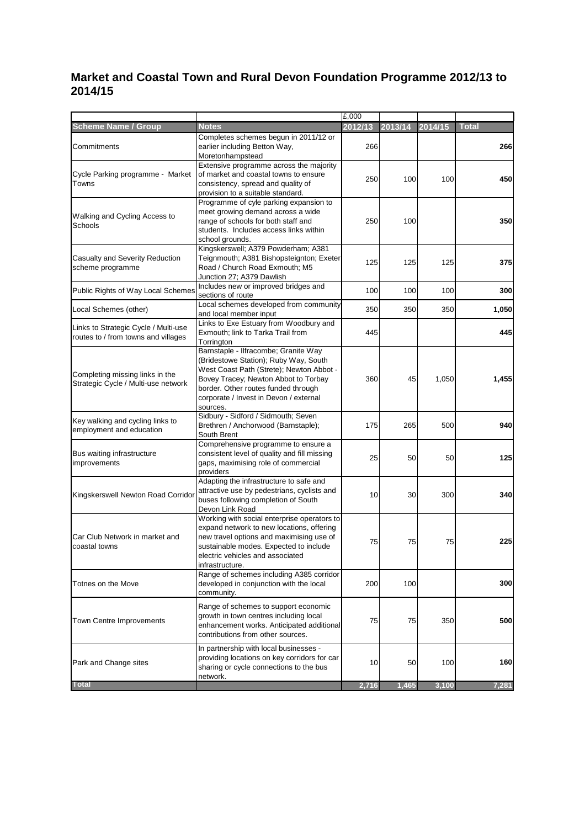## **Market and Coastal Town and Rural Devon Foundation Programme 2012/13 to 2014/15**

|                                                                             |                                                                                                                                                                                                                                                                | £,000   |         |         |              |
|-----------------------------------------------------------------------------|----------------------------------------------------------------------------------------------------------------------------------------------------------------------------------------------------------------------------------------------------------------|---------|---------|---------|--------------|
| <b>Scheme Name / Group</b>                                                  | <b>Notes</b>                                                                                                                                                                                                                                                   | 2012/13 | 2013/14 | 2014/15 | <b>Total</b> |
| Commitments                                                                 | Completes schemes begun in 2011/12 or<br>earlier including Betton Way,<br>Moretonhampstead                                                                                                                                                                     | 266     |         |         | 266          |
| Cycle Parking programme - Market<br>Towns                                   | Extensive programme across the majority<br>of market and coastal towns to ensure<br>consistency, spread and quality of<br>provision to a suitable standard.                                                                                                    | 250     | 100     | 100     | 450          |
| Walking and Cycling Access to<br>Schools                                    | Programme of cyle parking expansion to<br>meet growing demand across a wide<br>range of schools for both staff and<br>students. Includes access links within<br>school grounds.                                                                                | 250     | 100     |         | 350          |
| Casualty and Severity Reduction<br>scheme programme                         | Kingskerswell; A379 Powderham; A381<br>Teignmouth; A381 Bishopsteignton; Exeter<br>Road / Church Road Exmouth; M5<br>Junction 27; A379 Dawlish                                                                                                                 | 125     | 125     | 125     | 375          |
| Public Rights of Way Local Schemes                                          | Includes new or improved bridges and<br>sections of route                                                                                                                                                                                                      | 100     | 100     | 100     | 300          |
| Local Schemes (other)                                                       | Local schemes developed from community<br>and local member input                                                                                                                                                                                               | 350     | 350     | 350     | 1,050        |
| Links to Strategic Cycle / Multi-use<br>routes to / from towns and villages | Links to Exe Estuary from Woodbury and<br>Exmouth; link to Tarka Trail from<br>Torrington                                                                                                                                                                      | 445     |         |         | 445          |
| Completing missing links in the<br>Strategic Cycle / Multi-use network      | Barnstaple - Ilfracombe; Granite Way<br>(Bridestowe Station); Ruby Way, South<br>West Coast Path (Strete); Newton Abbot -<br>Bovey Tracey; Newton Abbot to Torbay<br>border. Other routes funded through<br>corporate / Invest in Devon / external<br>sources. | 360     | 45      | 1,050   | 1,455        |
| Key walking and cycling links to<br>employment and education                | Sidbury - Sidford / Sidmouth; Seven<br>Brethren / Anchorwood (Barnstaple);<br>South Brent                                                                                                                                                                      | 175     | 265     | 500     | 940          |
| Bus waiting infrastructure<br>improvements                                  | Comprehensive programme to ensure a<br>consistent level of quality and fill missing<br>gaps, maximising role of commercial<br>providers                                                                                                                        | 25      | 50      | 50      | 125          |
| Kingskerswell Newton Road Corridor                                          | Adapting the infrastructure to safe and<br>attractive use by pedestrians, cyclists and<br>buses following completion of South<br>Devon Link Road                                                                                                               | 10      | 30      | 300     | 340          |
| Car Club Network in market and<br>coastal towns                             | Working with social enterprise operators to<br>expand network to new locations, offering<br>new travel options and maximising use of<br>sustainable modes. Expected to include<br>electric vehicles and associated<br>infrastructure.                          | 75      | 75      | 75      | 225          |
| Totnes on the Move                                                          | Range of schemes including A385 corridor<br>developed in conjunction with the local<br>community.                                                                                                                                                              | 200     | 100     |         | 300          |
| <b>Town Centre Improvements</b>                                             | Range of schemes to support economic<br>growth in town centres including local<br>enhancement works. Anticipated additional<br>contributions from other sources.                                                                                               | 75      | 75      | 350     | 500          |
| Park and Change sites                                                       | In partnership with local businesses -<br>providing locations on key corridors for car<br>sharing or cycle connections to the bus<br>network.                                                                                                                  | 10      | 50      | 100     | 160          |
| <b>Total</b>                                                                |                                                                                                                                                                                                                                                                | 2,716   | 1,465   | 3,100   | 7,281        |